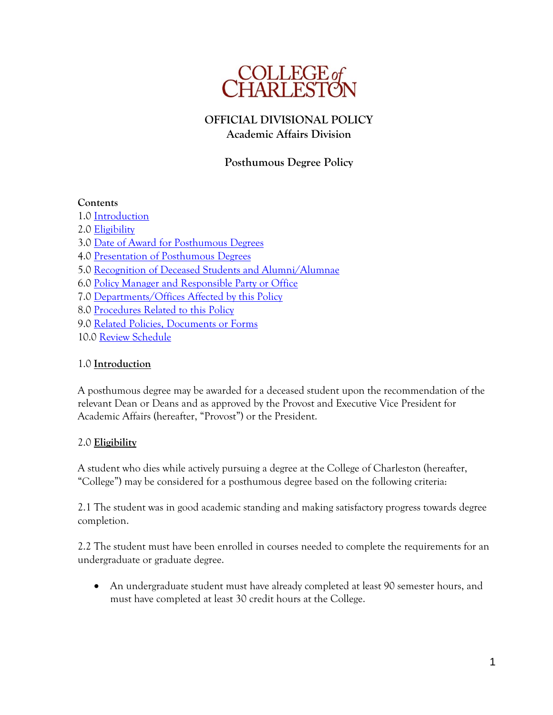

# **OFFICIAL DIVISIONAL POLICY Academic Affairs Division**

# **Posthumous Degree Policy**

### **Contents**

1.0 [Introduction](#page-0-0) 2.0 [Eligibility](#page-0-1) 3.0 [Date of Award for Posthumous Degrees](#page-1-0) 4.0 [Presentation of Posthumous Degrees](#page-1-1) 5.0 [Recognition of Deceased Students and Alumni/Alumnae](#page-1-2) 6.0 [Policy Manager and Responsible Party or Office](#page-1-3) 7.0 [Departments/Offices Affected by this Policy](#page-1-4) 8.0 [Procedures Related to this Policy](#page-2-0) 9.0 [Related Policies, Documents or Forms](#page-2-1) 10.0 [Review Schedule](#page-2-2)

## <span id="page-0-0"></span>1.0 **Introduction**

A posthumous degree may be awarded for a deceased student upon the recommendation of the relevant Dean or Deans and as approved by the Provost and Executive Vice President for Academic Affairs (hereafter, "Provost") or the President.

## <span id="page-0-1"></span>2.0 **Eligibility**

A student who dies while actively pursuing a degree at the College of Charleston (hereafter, "College") may be considered for a posthumous degree based on the following criteria:

2.1 The student was in good academic standing and making satisfactory progress towards degree completion.

2.2 The student must have been enrolled in courses needed to complete the requirements for an undergraduate or graduate degree.

 An undergraduate student must have already completed at least 90 semester hours, and must have completed at least 30 credit hours at the College.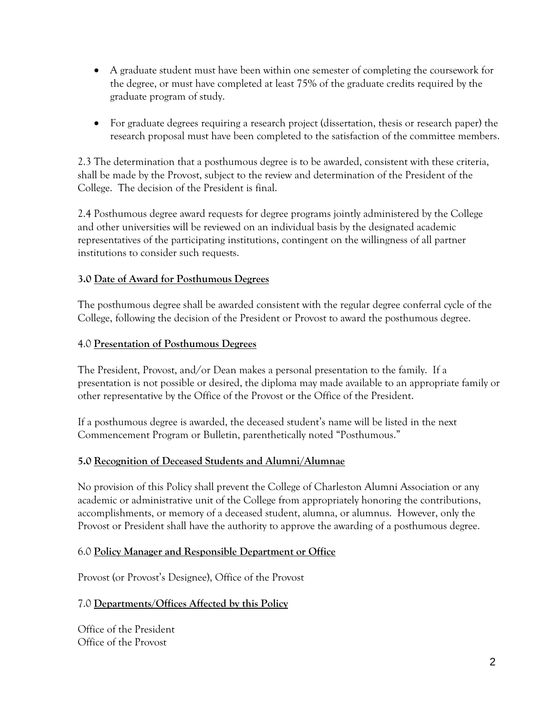- A graduate student must have been within one semester of completing the coursework for the degree, or must have completed at least 75% of the graduate credits required by the graduate program of study.
- For graduate degrees requiring a research project (dissertation, thesis or research paper) the research proposal must have been completed to the satisfaction of the committee members.

2.3 The determination that a posthumous degree is to be awarded, consistent with these criteria, shall be made by the Provost, subject to the review and determination of the President of the College. The decision of the President is final.

2.4 Posthumous degree award requests for degree programs jointly administered by the College and other universities will be reviewed on an individual basis by the designated academic representatives of the participating institutions, contingent on the willingness of all partner institutions to consider such requests.

## <span id="page-1-0"></span>**3.0 Date of Award for Posthumous Degrees**

The posthumous degree shall be awarded consistent with the regular degree conferral cycle of the College, following the decision of the President or Provost to award the posthumous degree.

### <span id="page-1-1"></span>4.0 **Presentation of Posthumous Degrees**

The President, Provost, and/or Dean makes a personal presentation to the family. If a presentation is not possible or desired, the diploma may made available to an appropriate family or other representative by the Office of the Provost or the Office of the President.

If a posthumous degree is awarded, the deceased student's name will be listed in the next Commencement Program or Bulletin, parenthetically noted "Posthumous."

### <span id="page-1-2"></span>**5.0 Recognition of Deceased Students and Alumni/Alumnae**

No provision of this Policy shall prevent the College of Charleston Alumni Association or any academic or administrative unit of the College from appropriately honoring the contributions, accomplishments, or memory of a deceased student, alumna, or alumnus. However, only the Provost or President shall have the authority to approve the awarding of a posthumous degree.

### <span id="page-1-3"></span>6.0 **Policy Manager and Responsible Department or Office**

Provost (or Provost's Designee), Office of the Provost

### <span id="page-1-4"></span>7.0 **Departments/Offices Affected by this Policy**

Office of the President Office of the Provost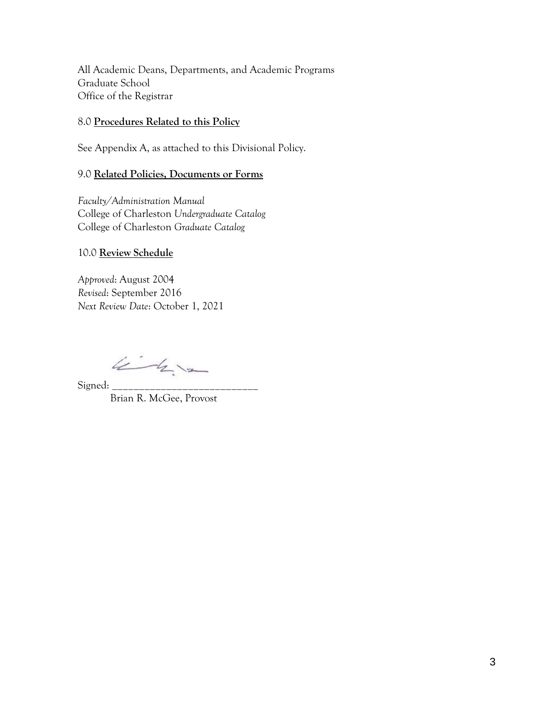All Academic Deans, Departments, and Academic Programs Graduate School Office of the Registrar

#### <span id="page-2-0"></span>8.0 **Procedures Related to this Policy**

See Appendix A, as attached to this Divisional Policy.

#### <span id="page-2-1"></span>9.0 **Related Policies, Documents or Forms**

*Faculty/Administration Manual* College of Charleston *Undergraduate Catalog* College of Charleston *Graduate Catalog*

#### <span id="page-2-2"></span>10.0 **Review Schedule**

*Approved*: August 2004 *Revised*: September 2016 *Next Review Date*: October 1, 2021

 $4 - 4 - 4$ 

Signed: Brian R. McGee, Provost